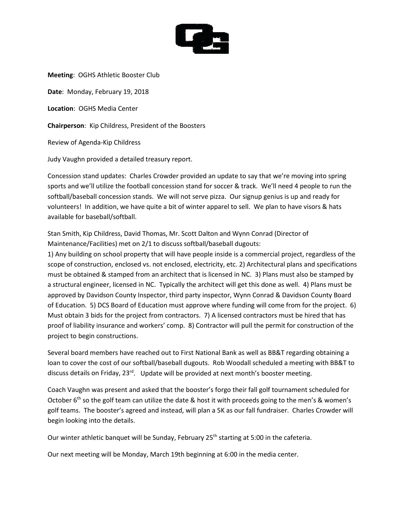

**Meeting**: OGHS Athletic Booster Club **Date**: Monday, February 19, 2018 **Location**: OGHS Media Center **Chairperson**: Kip Childress, President of the Boosters Review of Agenda-Kip Childress

Judy Vaughn provided a detailed treasury report.

Concession stand updates: Charles Crowder provided an update to say that we're moving into spring sports and we'll utilize the football concession stand for soccer & track. We'll need 4 people to run the softball/baseball concession stands. We will not serve pizza. Our signup genius is up and ready for volunteers! In addition, we have quite a bit of winter apparel to sell. We plan to have visors & hats available for baseball/softball.

Stan Smith, Kip Childress, David Thomas, Mr. Scott Dalton and Wynn Conrad (Director of Maintenance/Facilities) met on 2/1 to discuss softball/baseball dugouts:

1) Any building on school property that will have people inside is a commercial project, regardless of the scope of construction, enclosed vs. not enclosed, electricity, etc. 2) Architectural plans and specifications must be obtained & stamped from an architect that is licensed in NC. 3) Plans must also be stamped by a structural engineer, licensed in NC. Typically the architect will get this done as well. 4) Plans must be approved by Davidson County Inspector, third party inspector, Wynn Conrad & Davidson County Board of Education. 5) DCS Board of Education must approve where funding will come from for the project. 6) Must obtain 3 bids for the project from contractors. 7) A licensed contractors must be hired that has proof of liability insurance and workers' comp. 8) Contractor will pull the permit for construction of the project to begin constructions.

Several board members have reached out to First National Bank as well as BB&T regarding obtaining a loan to cover the cost of our softball/baseball dugouts. Rob Woodall scheduled a meeting with BB&T to discuss details on Friday, 23rd. Update will be provided at next month's booster meeting.

Coach Vaughn was present and asked that the booster's forgo their fall golf tournament scheduled for October  $6<sup>th</sup>$  so the golf team can utilize the date & host it with proceeds going to the men's & women's golf teams. The booster's agreed and instead, will plan a 5K as our fall fundraiser. Charles Crowder will begin looking into the details.

Our winter athletic banquet will be Sunday, February  $25<sup>th</sup>$  starting at 5:00 in the cafeteria.

Our next meeting will be Monday, March 19th beginning at 6:00 in the media center.